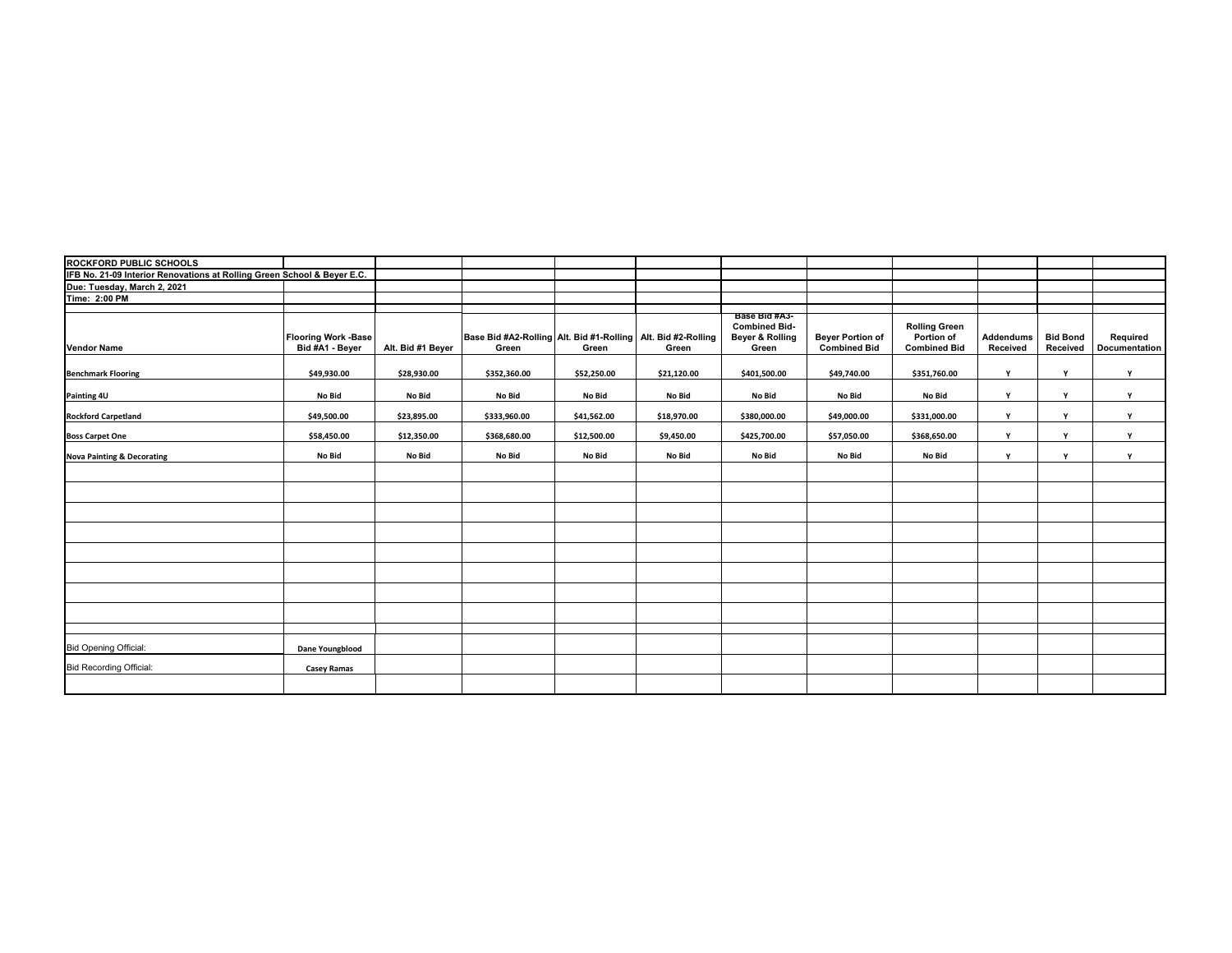| <b>ROCKFORD PUBLIC SCHOOLS</b>                                          |                                               |                   |                                                                       |             |             |                                                                   |                                                |                                                           |                              |                             |                           |
|-------------------------------------------------------------------------|-----------------------------------------------|-------------------|-----------------------------------------------------------------------|-------------|-------------|-------------------------------------------------------------------|------------------------------------------------|-----------------------------------------------------------|------------------------------|-----------------------------|---------------------------|
| IFB No. 21-09 Interior Renovations at Rolling Green School & Beyer E.C. |                                               |                   |                                                                       |             |             |                                                                   |                                                |                                                           |                              |                             |                           |
| Due: Tuesday, March 2, 2021                                             |                                               |                   |                                                                       |             |             |                                                                   |                                                |                                                           |                              |                             |                           |
| Time: 2:00 PM                                                           |                                               |                   |                                                                       |             |             |                                                                   |                                                |                                                           |                              |                             |                           |
|                                                                         |                                               |                   |                                                                       |             |             |                                                                   |                                                |                                                           |                              |                             |                           |
| <b>Vendor Name</b>                                                      | <b>Flooring Work -Base</b><br>Bid #A1 - Beyer | Alt. Bid #1 Beyer | Base Bid #A2-Rolling Alt. Bid #1-Rolling Alt. Bid #2-Rolling<br>Green | Green       | Green       | Base Bid #A3-<br><b>Combined Bid-</b><br>Beyer & Rolling<br>Green | <b>Beyer Portion of</b><br><b>Combined Bid</b> | <b>Rolling Green</b><br>Portion of<br><b>Combined Bid</b> | <b>Addendums</b><br>Received | <b>Bid Bond</b><br>Received | Required<br>Documentation |
| <b>Benchmark Flooring</b>                                               | \$49,930.00                                   | \$28,930.00       | \$352,360.00                                                          | \$52,250.00 | \$21,120.00 | \$401,500.00                                                      | \$49,740.00                                    | \$351,760.00                                              | Y                            | Y                           | Y                         |
| Painting 4U                                                             | No Bid                                        | No Bid            | No Bid                                                                | No Bid      | No Bid      | No Bid                                                            | No Bid                                         | No Bid                                                    | Y                            | Y                           | Y                         |
| <b>Rockford Carpetland</b>                                              | \$49,500.00                                   | \$23,895.00       | \$333,960.00                                                          | \$41,562.00 | \$18,970.00 | \$380,000.00                                                      | \$49,000.00                                    | \$331,000.00                                              | Y                            | Y                           | Y                         |
| <b>Boss Carpet One</b>                                                  | \$58,450.00                                   | \$12,350.00       | \$368,680.00                                                          | \$12,500.00 | \$9,450.00  | \$425,700.00                                                      | \$57,050.00                                    | \$368,650.00                                              | Y                            | Y                           | Y                         |
| <b>Nova Painting &amp; Decorating</b>                                   | No Bid                                        | No Bid            | No Bid                                                                | No Bid      | No Bid      | No Bid                                                            | No Bid                                         | No Bid                                                    | Y                            | Y                           | Y                         |
|                                                                         |                                               |                   |                                                                       |             |             |                                                                   |                                                |                                                           |                              |                             |                           |
|                                                                         |                                               |                   |                                                                       |             |             |                                                                   |                                                |                                                           |                              |                             |                           |
|                                                                         |                                               |                   |                                                                       |             |             |                                                                   |                                                |                                                           |                              |                             |                           |
|                                                                         |                                               |                   |                                                                       |             |             |                                                                   |                                                |                                                           |                              |                             |                           |
|                                                                         |                                               |                   |                                                                       |             |             |                                                                   |                                                |                                                           |                              |                             |                           |
|                                                                         |                                               |                   |                                                                       |             |             |                                                                   |                                                |                                                           |                              |                             |                           |
|                                                                         |                                               |                   |                                                                       |             |             |                                                                   |                                                |                                                           |                              |                             |                           |
|                                                                         |                                               |                   |                                                                       |             |             |                                                                   |                                                |                                                           |                              |                             |                           |
|                                                                         |                                               |                   |                                                                       |             |             |                                                                   |                                                |                                                           |                              |                             |                           |
| <b>Bid Opening Official:</b>                                            | Dane Youngblood                               |                   |                                                                       |             |             |                                                                   |                                                |                                                           |                              |                             |                           |
| <b>Bid Recording Official:</b>                                          | <b>Casey Ramas</b>                            |                   |                                                                       |             |             |                                                                   |                                                |                                                           |                              |                             |                           |
|                                                                         |                                               |                   |                                                                       |             |             |                                                                   |                                                |                                                           |                              |                             |                           |